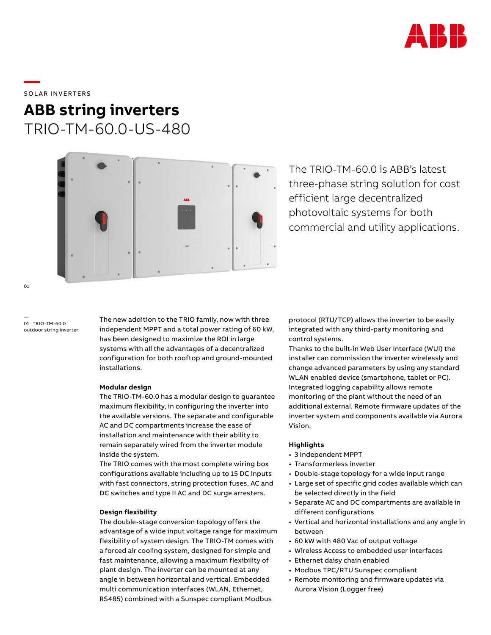

SOLAR INVERTERS

**—** 

# **ABB string inverters** TRIO-TM-60.0-US-480



The TRIO-TM-60.0 is ABB's latest three-phase string solution for cost efficient large decentralized photovoltaic systems for both commercial and utility applications.

— 01 TRIO-TM-60.0 outdoor string inverter

The new addition to the TRIO family, now with three independent MPPT and a total power rating of 60 kW, has been designed to maximize the ROI in large systems with all the advantages of a decentralized configuration for both rooftop and ground-mounted installations.

### **Modular design**

The TRIO-TM-60.0 has a modular design to guarantee maximum flexibility, in configuring the inverter into the available versions. The separate and configurable AC and DC compartments increase the ease of installation and maintenance with their ability to remain separately wired from the inverter module inside the system.

The TRIO comes with the most complete wiring box configurations available including up to 15 DC inputs with fast connectors, string protection fuses, AC and DC switches and type II AC and DC surge arresters.

## **Design flexibility**

The double-stage conversion topology offers the advantage of a wide input voltage range for maximum flexibility of system design. The TRIO-TM comes with a forced air cooling system, designed for simple and fast maintenance, allowing a maximum flexibility of plant design. The inverter can be mounted at any angle in between horizontal and vertical. Embedded multi communication interfaces (WLAN, Ethernet, RS485) combined with a Sunspec compliant Modbus

protocol (RTU/TCP) allows the inverter to be easily integrated with any third-party monitoring and control systems.

Thanks to the built-in Web User Interface (WUI) the installer can commission the inverter wirelessly and change advanced parameters by using any standard WLAN enabled device (smartphone, tablet or PC). Integrated logging capability allows remote monitoring of the plant without the need of an additional external. Remote firmware updates of the inverter system and components available via Aurora Vision.

## **Highlights**

- 3 Independent MPPT
- Transformerless inverter
- Double-stage topology for a wide input range
- Large set of specific grid codes available which can be selected directly in the field
- Separate AC and DC compartments are available in different configurations
- Vertical and horizontal installations and any angle in between
- 60 kW with 480 Vac of output voltage
- Wireless Access to embedded user interfaces
- Ethernet daisy chain enabled
- Modbus TPC/RTU Sunspec compliant
- Remote monitoring and firmware updates via Aurora Vision (Logger free)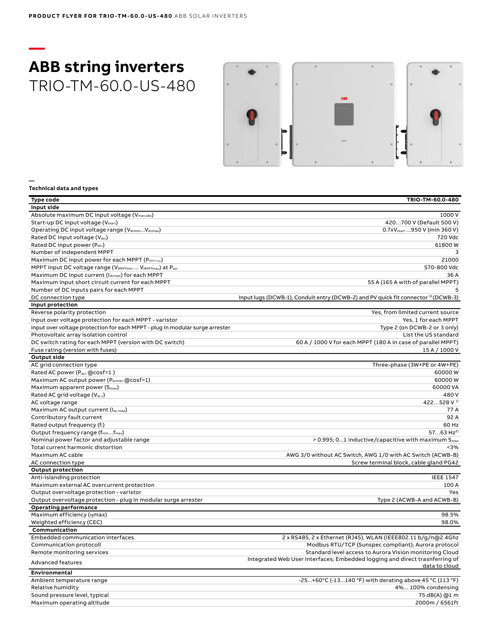# **— ABB string inverters** TRIO-TM-60.0-US-480



**— Technical data and types**

| Type code                                                                                    | TRIO-TM-60.0-480                                                                             |
|----------------------------------------------------------------------------------------------|----------------------------------------------------------------------------------------------|
| Input side                                                                                   |                                                                                              |
| Absolute maximum DC input voltage (Vmax,abs)                                                 | 1000 V                                                                                       |
| Start-up DC input voltage (V <sub>start</sub> )                                              | 420700 V (Default 500 V)                                                                     |
| Operating DC input voltage range (VdcminVdcmax)                                              | 0.7xV <sub>start</sub> 950 V (min 360 V)                                                     |
| Rated DC input voltage (Vdcr)                                                                | 720 Vdc                                                                                      |
| Rated DC input power (Pdcr)                                                                  | 61800W                                                                                       |
| Number of independent MPPT                                                                   | 3                                                                                            |
| Maximum DC input power for each MPPT (PMPPT,max)                                             | 21000                                                                                        |
| MPPT input DC voltage range (V <sub>MPPTmin</sub> V <sub>MPPTmax</sub> ) at P <sub>acr</sub> | 570-800 Vdc                                                                                  |
| Maximum DC input current (Idcmax) for each MPPT                                              | 36A                                                                                          |
| Maximum input short circuit current for each MPPT                                            | 55 A (165 A with of parallel MPPT)                                                           |
| Number of DC inputs pairs for each MPPT                                                      |                                                                                              |
| DC connection type                                                                           | Input lugs (DCWB-1), Conduit entry (DCWB-2) and PV quick fit connector <sup>3</sup> (DCWB-3) |
| Input protection                                                                             |                                                                                              |
| Reverse polarity protection                                                                  | Yes, from limited current source                                                             |
| Input over voltage protection for each MPPT - varistor                                       | Yes, 1 for each MPPT                                                                         |
| Input over voltage protection for each MPPT - plug In modular surge arrester                 | Type 2 (on DCWB-2 or 3 only)                                                                 |
| Photovoltaic array isolation control                                                         | List the US standard                                                                         |
| DC switch rating for each MPPT (version with DC switch)                                      | 60 A / 1000 V for each MPPT (180 A in case of parallel MPPT)                                 |
| Fuse rating (version with fuses)                                                             | 15 A / 1000 V                                                                                |
| <b>Output side</b>                                                                           |                                                                                              |
| AC grid connection type                                                                      | Three-phase (3W+PE or 4W+PE)                                                                 |
| Rated AC power (Pacr @cosf=1)                                                                | 60000W                                                                                       |
|                                                                                              | 60000W                                                                                       |
| Maximum AC output power (Pacmax @cosf=1)                                                     | 60000 VA                                                                                     |
| Maximum apparent power (S <sub>max</sub> )                                                   |                                                                                              |
| Rated AC grid voltage (V <sub>ac,r</sub> )                                                   | 480V                                                                                         |
| AC voltage range                                                                             | 422528 V <sup>1)</sup>                                                                       |
| Maximum AC output current (Iac,max)                                                          | 77A                                                                                          |
| Contributory fault current                                                                   | 92 A                                                                                         |
| Rated output frequency (fr)                                                                  | 60 Hz                                                                                        |
| Output frequency range (f <sub>min</sub> f <sub>max</sub> )                                  | $5763$ Hz <sup>2)</sup>                                                                      |
| Nominal power factor and adjustable range                                                    | > 0.995; 01 inductive/capacitive with maximum S <sub>max</sub>                               |
| Total current harmonic distortion                                                            | < 3%                                                                                         |
| Maximum AC cable                                                                             | AWG 3/0 without AC Switch, AWG 1/0 with AC Switch (ACWB-B)                                   |
| AC connection type                                                                           | Screw terminal block, cable gland PG42                                                       |
| <b>Output protection</b>                                                                     |                                                                                              |
| Anti-islanding protection                                                                    | <b>IEEE 1547</b>                                                                             |
| Maximum external AC overcurrent protection                                                   | 100 A                                                                                        |
| Output overvoltage protection - varistor                                                     | Yes                                                                                          |
| Output overvoltage protection - plug In modular surge arrester                               | Type 2 (ACWB-A and ACWB-B)                                                                   |
| <b>Operating performance</b>                                                                 |                                                                                              |
| Maximum efficiency (nmax)                                                                    | 98.5%                                                                                        |
| Weighted efficiency (CEC)                                                                    | 98.0%                                                                                        |
| Communication                                                                                |                                                                                              |
| Embedded communication interfaces                                                            | 2 x RS485, 2 x Ethernet (RJ45), WLAN (IEEE802.11 b/g/n@2.4Ghz                                |
| Communication protocoll                                                                      | Modbus RTU/TCP (Sunspec compliant); Aurora protocol                                          |
| Remote monitoring services                                                                   | Standard level access to Aurora Vision monitoring Cloud                                      |
| <b>Advanced features</b>                                                                     | Integrated Web User Interfaces; Embedded logging and direct trasnferring of<br>data to cloud |
| Environmental                                                                                |                                                                                              |
| Ambient temperature range                                                                    | -25+60°C (-13140 °F) with derating above 45 °C (113 °F)                                      |
| Relative humidity                                                                            | 4% 100% condensing                                                                           |
| Sound pressure level, typical                                                                | 75 dB(A) @1 m                                                                                |
| Maximum operating altitude                                                                   | 2000m / 6561ft                                                                               |
|                                                                                              |                                                                                              |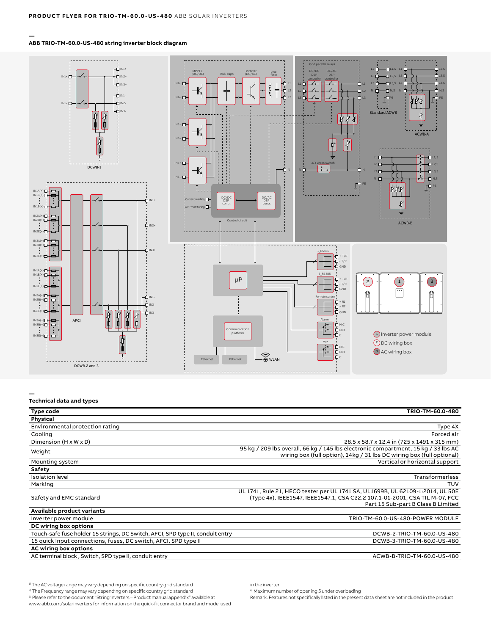#### **— ABB TRIO-TM-60.0-US-480 string inverter block diagram**



### **—**

#### **Technical data and types**

| <b>Type code</b>                                                               | TRIO-TM-60.0-480                                                                                                                                                                                    |
|--------------------------------------------------------------------------------|-----------------------------------------------------------------------------------------------------------------------------------------------------------------------------------------------------|
| Physical                                                                       |                                                                                                                                                                                                     |
| Environmental protection rating                                                | Type 4X                                                                                                                                                                                             |
| Cooling                                                                        | Forced air                                                                                                                                                                                          |
| Dimension $(H \times W \times D)$                                              | 28.5 x 58.7 x 12.4 in (725 x 1491 x 315 mm)                                                                                                                                                         |
| Weight                                                                         | 95 kg / 209 lbs overall, 66 kg / 145 lbs electronic compartment, 15 kg / 33 lbs AC<br>wiring box (full option), 14kg / 31 lbs DC wiring box (full optional)                                         |
| Mounting system                                                                | Vertical or horizontal support                                                                                                                                                                      |
| Safety                                                                         |                                                                                                                                                                                                     |
| <b>Isolation level</b>                                                         | <b>Transformerless</b>                                                                                                                                                                              |
| Marking                                                                        | <b>TUV</b>                                                                                                                                                                                          |
| Safety and EMC standard                                                        | UL 1741, Rule 21, HECO tester per UL 1741 SA, UL1699B, UL 62109-1:2014, UL 50E<br>(Type 4x), IEEE1547, IEEE1547.1, CSA C22.2 107.1-01-2001, CSA TIL M-07, FCC<br>Part 15 Sub-part B Class B Limited |
| Available product variants                                                     |                                                                                                                                                                                                     |
| Inverter power module                                                          | TRIO-TM-60.0-US-480-POWER MODULE                                                                                                                                                                    |
| DC wiring box options                                                          |                                                                                                                                                                                                     |
| Touch-safe fuse holder 15 strings, DC Switch, AFCI, SPD type II, conduit entry | DCWB-2-TRIO-TM-60.0-US-480                                                                                                                                                                          |
| 15 quick Input connections, fuses, DC switch, AFCI, SPD type II                | DCWB-3-TRIO-TM-60.0-US-480                                                                                                                                                                          |
| AC wiring box options                                                          |                                                                                                                                                                                                     |
| AC terminal block, Switch, SPD type II, conduit entry                          | ACWB-B-TRIO-TM-60.0-US-480                                                                                                                                                                          |

1) The AC voltage range may vary depending on specific country grid standard

2) The Frequency range may vary depending on specific country grid standard

3) Please refer to the document "String inverters – Product manual appendix" available at www.abb.com/solarinverters for information on the quick-fit connector brand and model used

in the inverter 4) Maximum number of opening 5 under overloading

Remark. Features not specifically listed in the present data sheet are not included in the product